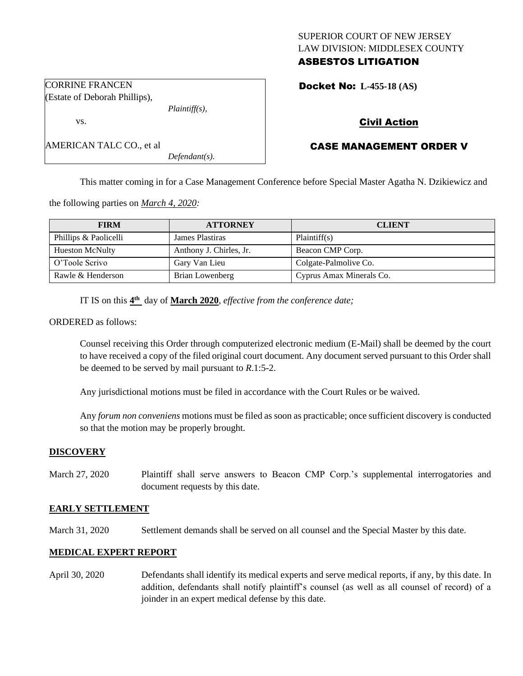# SUPERIOR COURT OF NEW JERSEY LAW DIVISION: MIDDLESEX COUNTY ASBESTOS LITIGATION

Docket No: **L-455-18 (AS)** 

# Civil Action

# CASE MANAGEMENT ORDER V

This matter coming in for a Case Management Conference before Special Master Agatha N. Dzikiewicz and

the following parties on *March 4, 2020:*

| <b>FIRM</b>            | <b>ATTORNEY</b>         | <b>CLIENT</b>            |
|------------------------|-------------------------|--------------------------|
| Phillips & Paolicelli  | James Plastiras         | Plaintiff(s)             |
| <b>Hueston McNulty</b> | Anthony J. Chirles, Jr. | Beacon CMP Corp.         |
| O'Toole Scrivo         | Gary Van Lieu           | Colgate-Palmolive Co.    |
| Rawle & Henderson      | Brian Lowenberg         | Cyprus Amax Minerals Co. |

IT IS on this  $4^{\text{th}}$  day of **March 2020**, *effective from the conference date*;

*Plaintiff(s),*

*Defendant(s).*

ORDERED as follows:

Counsel receiving this Order through computerized electronic medium (E-Mail) shall be deemed by the court to have received a copy of the filed original court document. Any document served pursuant to this Order shall be deemed to be served by mail pursuant to *R*.1:5-2.

Any jurisdictional motions must be filed in accordance with the Court Rules or be waived.

Any *forum non conveniens* motions must be filed as soon as practicable; once sufficient discovery is conducted so that the motion may be properly brought.

#### **DISCOVERY**

March 27, 2020 Plaintiff shall serve answers to Beacon CMP Corp.'s supplemental interrogatories and document requests by this date.

### **EARLY SETTLEMENT**

March 31, 2020 Settlement demands shall be served on all counsel and the Special Master by this date.

### **MEDICAL EXPERT REPORT**

April 30, 2020 Defendants shall identify its medical experts and serve medical reports, if any, by this date. In addition, defendants shall notify plaintiff's counsel (as well as all counsel of record) of a joinder in an expert medical defense by this date.

CORRINE FRANCEN (Estate of Deborah Phillips),

AMERICAN TALC CO., et al

vs.